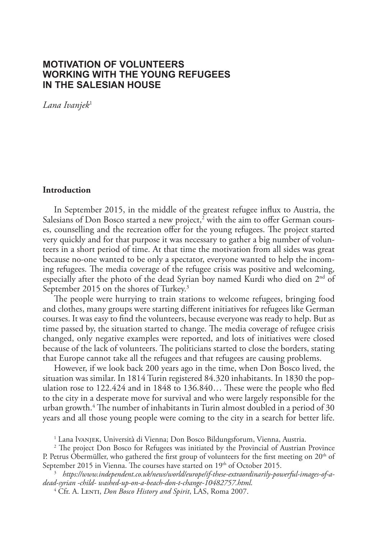# **MOTIVATION OF VOLUNTEERS WORKING WITH THE YOUNG REFUGEES IN THE SALESIAN HOUSE**

*Lana Ivanjek*<sup>1</sup>

## **Introduction**

In September 2015, in the middle of the greatest refugee influx to Austria, the Salesians of Don Bosco started a new project, $^2$  with the aim to offer German courses, counselling and the recreation offer for the young refugees. The project started very quickly and for that purpose it was necessary to gather a big number of volunteers in a short period of time. At that time the motivation from all sides was great because no-one wanted to be only a spectator, everyone wanted to help the incoming refugees. The media coverage of the refugee crisis was positive and welcoming, especially after the photo of the dead Syrian boy named Kurdi who died on 2<sup>nd</sup> of September 2015 on the shores of Turkey.<sup>3</sup>

The people were hurrying to train stations to welcome refugees, bringing food and clothes, many groups were starting different initiatives for refugees like German courses. It was easy to find the volunteers, because everyone was ready to help. But as time passed by, the situation started to change. The media coverage of refugee crisis changed, only negative examples were reported, and lots of initiatives were closed because of the lack of volunteers. The politicians started to close the borders, stating that Europe cannot take all the refugees and that refugees are causing problems.

However, if we look back 200 years ago in the time, when Don Bosco lived, the situation was similar. In 1814 Turin registered 84.320 inhabitants. In 1830 the population rose to 122.424 and in 1848 to 136.840… These were the people who fled to the city in a desperate move for survival and who were largely responsible for the urban growth.4 The number of inhabitants in Turin almost doubled in a period of 30 years and all those young people were coming to the city in a search for better life.

1 Lana Ivanjek, Università di Vienna; Don Bosco Bildungsforum, Vienna, Austria.

<sup>2</sup> The project Don Bosco for Refugees was initiated by the Provincial of Austrian Province P. Petrus Obermüller, who gathered the first group of volunteers for the first meeting on 20<sup>th</sup> of September 2015 in Vienna. The courses have started on 19<sup>th</sup> of October 2015.

<sup>3</sup> *https://www.independent.co.uk/news/world/europe/if-these-extraordinarily-powerful-images-of-adead-syrian -child- washed-up-on-a-beach-don-t-change-10482757.html*.

<sup>4</sup> Cfr. A. LENTI, *Don Bosco History and Spirit*, LAS, Roma 2007.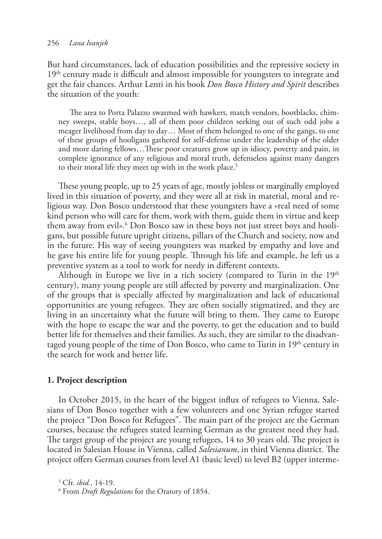But hard circumstances, lack of education possibilities and the repressive society in 19<sup>th</sup> century made it difficult and almost impossible for youngsters to integrate and get the fair chances. Arthur Lenti in his book *Don Bosco History and Spirit* describes the situation of the youth:

The area to Porta Palazzo swarmed with hawkers, match vendors, bootblacks, chimney sweeps, stable boys…, all of them poor children seeking out of such odd jobs a meager livelihood from day to day… Most of them belonged to one of the gangs, to one of these groups of hooligans gathered for self-defense under the leadership of the older and more daring fellows…These poor creatures grow up in idiocy, poverty and pain, in complete ignorance of any religious and moral truth, defenseless against many dangers to their moral life they meet up with in the work place.<sup>5</sup>

These young people, up to 25 years of age, mostly jobless or marginally employed lived in this situation of poverty, and they were all at risk in material, moral and religious way. Don Bosco understood that these youngsters have a «real need of some kind person who will care for them, work with them, guide them in virtue and keep them away from evil».<sup>6</sup> Don Bosco saw in these boys not just street boys and hooligans, but possible future upright citizens, pillars of the Church and society, now and in the future. His way of seeing youngsters was marked by empathy and love and he gave his entire life for young people. Through his life and example, he left us a preventive system as a tool to work for needy in different contexts.

Although in Europe we live in a rich society (compared to Turin in the  $19<sup>th</sup>$ century), many young people are still affected by poverty and marginalization. One of the groups that is specially affected by marginalization and lack of educational opportunities are young refugees. They are often socially stigmatized, and they are living in an uncertainty what the future will bring to them. They came to Europe with the hope to escape the war and the poverty, to get the education and to build better life for themselves and their families. As such, they are similar to the disadvantaged young people of the time of Don Bosco, who came to Turin in  $19<sup>th</sup>$  century in the search for work and better life.

## **1. Project description**

In October 2015, in the heart of the biggest influx of refugees to Vienna, Salesians of Don Bosco together with a few volunteers and one Syrian refugee started the project "Don Bosco for Refugees". The main part of the project are the German courses, because the refugees stated learning German as the greatest need they had. The target group of the project are young refugees, 14 to 30 years old. The project is located in Salesian House in Vienna, called *Salesianum*, in third Vienna district. The project offers German courses from level A1 (basic level) to level B2 (upper interme-

5 Cfr. *ibid.*, 14-19.

<sup>6</sup> From *Draft Regulations* for the Oratory of 1854.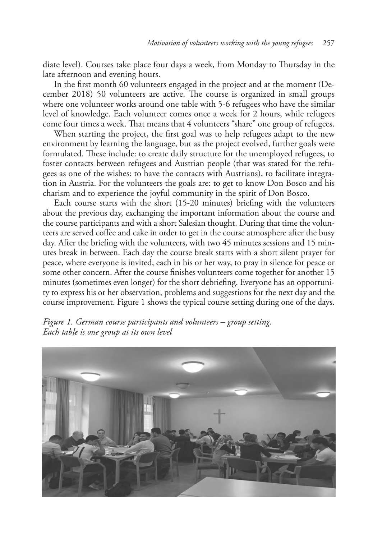diate level). Courses take place four days a week, from Monday to Thursday in the late afternoon and evening hours.

In the first month 60 volunteers engaged in the project and at the moment (December 2018) 50 volunteers are active. The course is organized in small groups where one volunteer works around one table with 5-6 refugees who have the similar level of knowledge. Each volunteer comes once a week for 2 hours, while refugees come four times a week. That means that 4 volunteers "share" one group of refugees.

When starting the project, the first goal was to help refugees adapt to the new environment by learning the language, but as the project evolved, further goals were formulated. These include: to create daily structure for the unemployed refugees, to foster contacts between refugees and Austrian people (that was stated for the refugees as one of the wishes: to have the contacts with Austrians), to facilitate integration in Austria. For the volunteers the goals are: to get to know Don Bosco and his charism and to experience the joyful community in the spirit of Don Bosco.

Each course starts with the short (15-20 minutes) briefing with the volunteers about the previous day, exchanging the important information about the course and the course participants and with a short Salesian thought. During that time the volunteers are served coffee and cake in order to get in the course atmosphere after the busy day. After the briefing with the volunteers, with two 45 minutes sessions and 15 minutes break in between. Each day the course break starts with a short silent prayer for peace, where everyone is invited, each in his or her way, to pray in silence for peace or some other concern. After the course finishes volunteers come together for another 15 minutes (sometimes even longer) for the short debriefing. Everyone has an opportunity to express his or her observation, problems and suggestions for the next day and the course improvement. Figure 1 shows the typical course setting during one of the days.



*Figure 1. German course participants and volunteers – group setting. Each table is one group at its own level*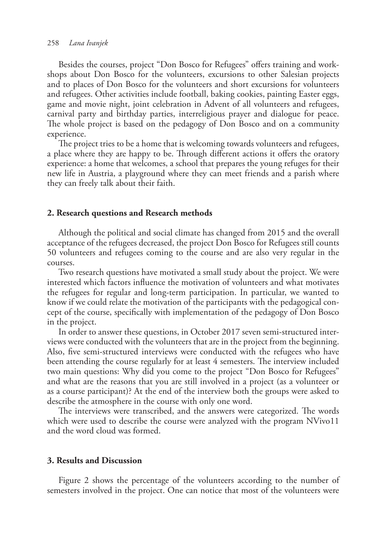Besides the courses, project "Don Bosco for Refugees" offers training and workshops about Don Bosco for the volunteers, excursions to other Salesian projects and to places of Don Bosco for the volunteers and short excursions for volunteers and refugees. Other activities include football, baking cookies, painting Easter eggs, game and movie night, joint celebration in Advent of all volunteers and refugees, carnival party and birthday parties, interreligious prayer and dialogue for peace. The whole project is based on the pedagogy of Don Bosco and on a community experience.

The project tries to be a home that is welcoming towards volunteers and refugees, a place where they are happy to be. Through different actions it offers the oratory experience: a home that welcomes, a school that prepares the young refuges for their new life in Austria, a playground where they can meet friends and a parish where they can freely talk about their faith.

### **2. Research questions and Research methods**

Although the political and social climate has changed from 2015 and the overall acceptance of the refugees decreased, the project Don Bosco for Refugees still counts 50 volunteers and refugees coming to the course and are also very regular in the courses.

Two research questions have motivated a small study about the project. We were interested which factors influence the motivation of volunteers and what motivates the refugees for regular and long-term participation. In particular, we wanted to know if we could relate the motivation of the participants with the pedagogical concept of the course, specifically with implementation of the pedagogy of Don Bosco in the project.

In order to answer these questions, in October 2017 seven semi-structured interviews were conducted with the volunteers that are in the project from the beginning. Also, five semi-structured interviews were conducted with the refugees who have been attending the course regularly for at least 4 semesters. The interview included two main questions: Why did you come to the project "Don Bosco for Refugees" and what are the reasons that you are still involved in a project (as a volunteer or as a course participant)? At the end of the interview both the groups were asked to describe the atmosphere in the course with only one word.

The interviews were transcribed, and the answers were categorized. The words which were used to describe the course were analyzed with the program NVivo11 and the word cloud was formed.

#### **3. Results and Discussion**

Figure 2 shows the percentage of the volunteers according to the number of semesters involved in the project. One can notice that most of the volunteers were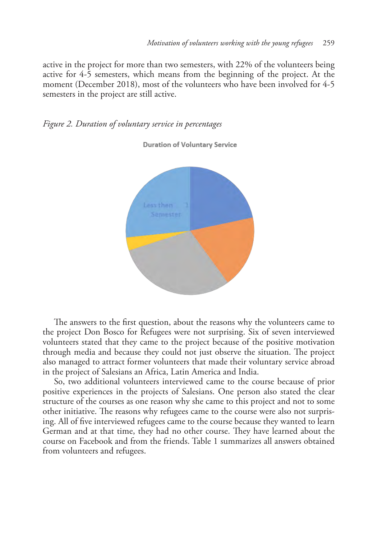active in the project for more than two semesters, with 22% of the volunteers being active for 4-5 semesters, which means from the beginning of the project. At the moment (December 2018), most of the volunteers who have been involved for 4-5 semesters in the project are still active.





**Duration of Voluntary Service** 

The answers to the first question, about the reasons why the volunteers came to the project Don Bosco for Refugees were not surprising. Six of seven interviewed volunteers stated that they came to the project because of the positive motivation through media and because they could not just observe the situation. The project also managed to attract former volunteers that made their voluntary service abroad in the project of Salesians an Africa, Latin America and India.

So, two additional volunteers interviewed came to the course because of prior positive experiences in the projects of Salesians. One person also stated the clear structure of the courses as one reason why she came to this project and not to some other initiative. The reasons why refugees came to the course were also not surprising. All of five interviewed refugees came to the course because they wanted to learn German and at that time, they had no other course. They have learned about the course on Facebook and from the friends. Table 1 summarizes all answers obtained from volunteers and refugees.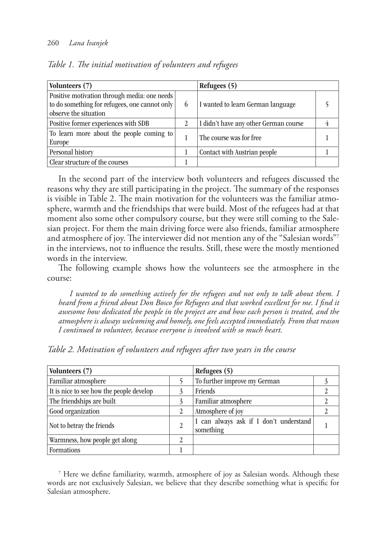#### 260 *Lana Ivanjek*

| Volunteers (7)                                                                                                           |   | Refugees (5)                          |  |
|--------------------------------------------------------------------------------------------------------------------------|---|---------------------------------------|--|
| Positive motivation through media: one needs  <br>to do something for refugees, one cannot only<br>observe the situation | 6 | I wanted to learn German language     |  |
| Positive former experiences with SDB                                                                                     |   | I didn't have any other German course |  |
| To learn more about the people coming to<br>Europe                                                                       |   | The course was for free               |  |
| Personal history                                                                                                         |   | Contact with Austrian people          |  |
| Clear structure of the courses                                                                                           |   |                                       |  |

*Table 1. The initial motivation of volunteers and refugees*

In the second part of the interview both volunteers and refugees discussed the reasons why they are still participating in the project. The summary of the responses is visible in Table 2. The main motivation for the volunteers was the familiar atmosphere, warmth and the friendships that were build. Most of the refugees had at that moment also some other compulsory course, but they were still coming to the Salesian project. For them the main driving force were also friends, familiar atmosphere and atmosphere of joy. The interviewer did not mention any of the "Salesian words"7 in the interviews, not to influence the results. Still, these were the mostly mentioned words in the interview.

The following example shows how the volunteers see the atmosphere in the course:

*I wanted to do something actively for the refugees and not only to talk about them. I heard from a friend about Don Bosco for Refugees and that worked excellent for me. I find it awesome how dedicated the people in the project are and how each person is treated, and the atmosphere is always welcoming and homely, one feels accepted immediately. From that reason I continued to volunteer, because everyone is involved with so much heart.*

| Volunteers (7)                           |   | Refugees (5)                                        |  |
|------------------------------------------|---|-----------------------------------------------------|--|
| Familiar atmosphere                      |   | To further improve my German                        |  |
| It is nice to see how the people develop |   | Friends                                             |  |
| The friendships are built                | 3 | Familiar atmosphere                                 |  |
| Good organization                        | 2 | Atmosphere of joy                                   |  |
| Not to betray the friends                | 2 | I can always ask if I don't understand<br>something |  |
| Warmness, how people get along           | 2 |                                                     |  |
| <b>Formations</b>                        |   |                                                     |  |

*Table 2. Motivation of volunteers and refugees after two years in the course*

7 Here we define familiarity, warmth, atmosphere of joy as Salesian words. Although these words are not exclusively Salesian, we believe that they describe something what is specific for Salesian atmosphere.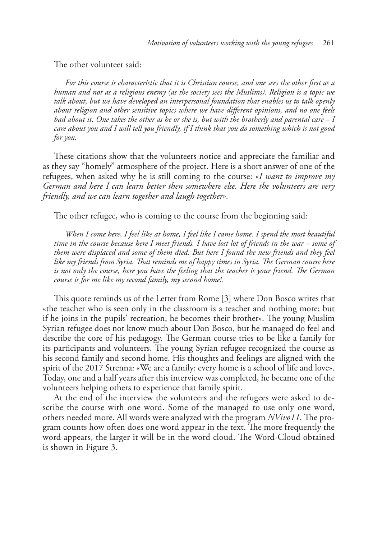The other volunteer said:

*For this course is characteristic that it is Christian course, and one sees the other first as a human and not as a religious enemy (as the society sees the Muslims). Religion is a topic we talk about, but we have developed an interpersonal foundation that enables us to talk openly about religion and other sensitive topics where we have different opinions, and no one feels bad about it. One takes the other as he or she is, but with the brotherly and parental care – I care about you and I will tell you friendly, if I think that you do something which is not good for you.*

These citations show that the volunteers notice and appreciate the familiar and as they say "homely" atmosphere of the project. Here is a short answer of one of the refugees, when asked why he is still coming to the course: «*I want to improve my German and here I can learn better then somewhere else. Here the volunteers are very friendly, and we can learn together and laugh together*»*.*

The other refugee, who is coming to the course from the beginning said:

*When I come here, I feel like at home, I feel like I came home. I spend the most beautiful time in the course because here I meet friends. I have lost lot of friends in the war – some of them were displaced and some of them died. But here I found the new friends and they feel like my friends from Syria. That reminds me of happy times in Syria. The German course here is not only the course, here you have the feeling that the teacher is your friend. The German course is for me like my second family, my second home!.*

This quote reminds us of the Letter from Rome [3] where Don Bosco writes that «the teacher who is seen only in the classroom is a teacher and nothing more; but if he joins in the pupils' recreation, he becomes their brother». The young Muslim Syrian refugee does not know much about Don Bosco, but he managed do feel and describe the core of his pedagogy. The German course tries to be like a family for its participants and volunteers. The young Syrian refugee recognized the course as his second family and second home. His thoughts and feelings are aligned with the spirit of the 2017 Strenna: «We are a family: every home is a school of life and love». Today, one and a half years after this interview was completed, he became one of the volunteers helping others to experience that family spirit.

At the end of the interview the volunteers and the refugees were asked to describe the course with one word. Some of the managed to use only one word, others needed more. All words were analyzed with the program *NVivo11*. The program counts how often does one word appear in the text. The more frequently the word appears, the larger it will be in the word cloud. The Word-Cloud obtained is shown in Figure 3.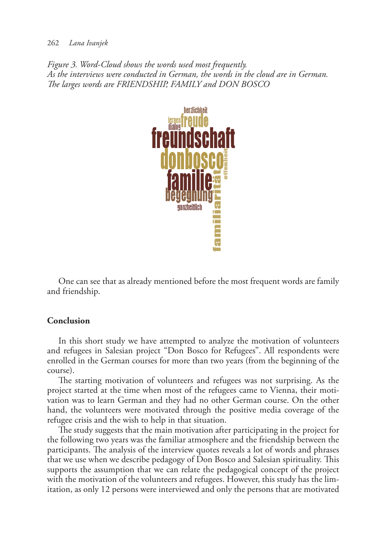#### 262 *Lana Ivanjek*

*Figure 3. Word-Cloud shows the words used most frequently. As the interviews were conducted in German, the words in the cloud are in German. The larges words are FRIENDSHIP, FAMILY and DON BOSCO*



One can see that as already mentioned before the most frequent words are family and friendship.

# **Conclusion**

In this short study we have attempted to analyze the motivation of volunteers and refugees in Salesian project "Don Bosco for Refugees". All respondents were enrolled in the German courses for more than two years (from the beginning of the course).

The starting motivation of volunteers and refugees was not surprising. As the project started at the time when most of the refugees came to Vienna, their motivation was to learn German and they had no other German course. On the other hand, the volunteers were motivated through the positive media coverage of the refugee crisis and the wish to help in that situation.

The study suggests that the main motivation after participating in the project for the following two years was the familiar atmosphere and the friendship between the participants. The analysis of the interview quotes reveals a lot of words and phrases that we use when we describe pedagogy of Don Bosco and Salesian spirituality. This supports the assumption that we can relate the pedagogical concept of the project with the motivation of the volunteers and refugees. However, this study has the limitation, as only 12 persons were interviewed and only the persons that are motivated